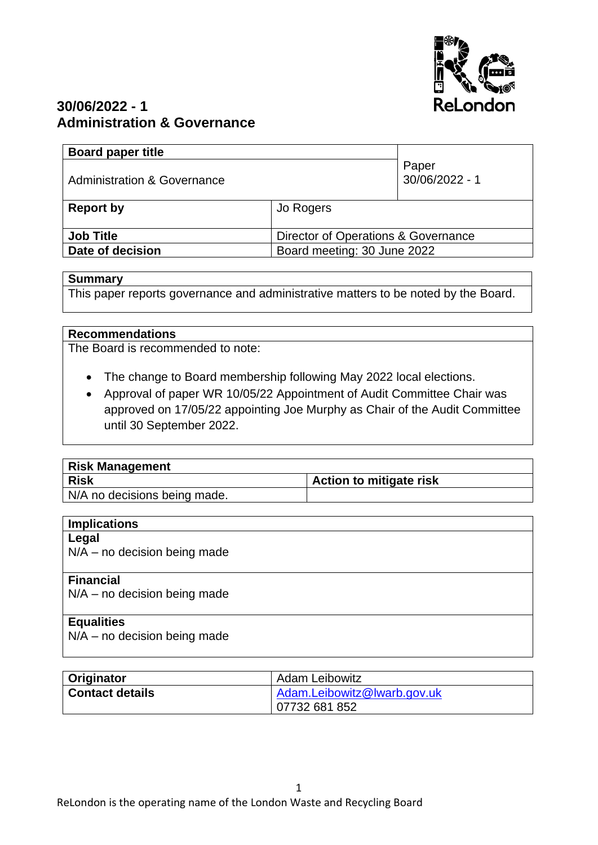

# **30/06/2022 - 1 Administration & Governance**

| <b>Board paper title</b>               |                                     |                         |
|----------------------------------------|-------------------------------------|-------------------------|
| <b>Administration &amp; Governance</b> |                                     | Paper<br>30/06/2022 - 1 |
| <b>Report by</b>                       | Jo Rogers                           |                         |
|                                        |                                     |                         |
| <b>Job Title</b>                       | Director of Operations & Governance |                         |
| Date of decision                       | Board meeting: 30 June 2022         |                         |
|                                        |                                     |                         |

### **Summary**

This paper reports governance and administrative matters to be noted by the Board.

#### **Recommendations**

The Board is recommended to note:

- The change to Board membership following May 2022 local elections.
- Approval of paper WR 10/05/22 Appointment of Audit Committee Chair was approved on 17/05/22 appointing Joe Murphy as Chair of the Audit Committee until 30 September 2022.

| <b>Risk Management</b>       |                                |
|------------------------------|--------------------------------|
| <b>Risk</b>                  | <b>Action to mitigate risk</b> |
| N/A no decisions being made. |                                |

| <b>Implications</b>                    |
|----------------------------------------|
| Legal                                  |
| $N/A$ – no decision being made         |
|                                        |
| <b>Financial</b>                       |
| $N/A$ – no decision being made         |
|                                        |
| <b>Equalities</b>                      |
| no docicion boing mado<br>$N1/\Lambda$ |

N/A – no decision being made

| Originator             | <b>Adam Leibowitz</b>       |  |
|------------------------|-----------------------------|--|
| <b>Contact details</b> | Adam.Leibowitz@lwarb.gov.uk |  |
|                        | 07732 681 852               |  |